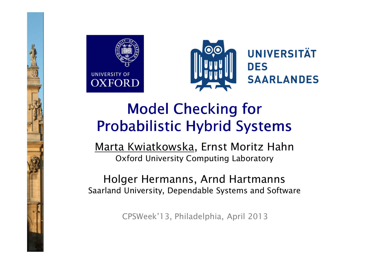



# Model Checking for Probabilistic Hybrid Systems

Marta Kwiatkowska, Ernst Moritz HahnOxford University Computing Laboratory

Holger Hermanns, Arnd Hartmanns Saarland University, Dependable Systems and Software

CPSWeek'13, Philadelphia, April 2013

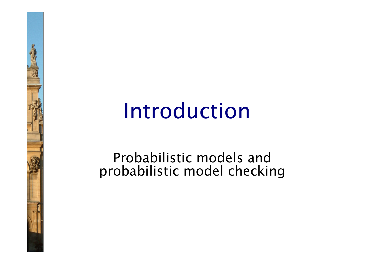# Introduction

Probabilistic models and probabilistic model checking

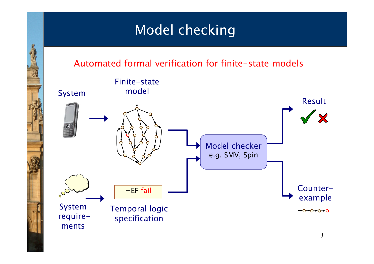### Model checking

#### Automated formal verification for finite-state models

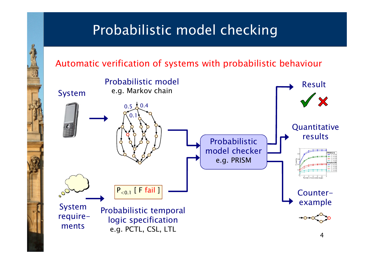## Probabilistic model checking

#### Automatic verification of systems with probabilistic behaviour

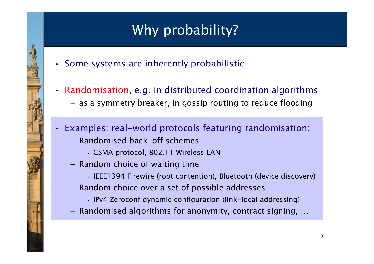# Why probability?

- Some systems are inherently probabilistic…
- Randomisation, e.g. in distributed coordination algorithms −as a symmetry breaker, in gossip routing to reduce flooding
- • Examples: real-world protocols featuring randomisation:
	- Randomised back-off schemes
		- CSMA protocol, 802.11 Wireless LAN
	- Random choice of waiting time
		- IEEE1394 Firewire (root contention), Bluetooth (device discovery)
	- Random choice over a set of possible addresses
		- IPv4 Zeroconf dynamic configuration (link-local addressing)
	- Randomised algorithms for anonymity, contract signing, …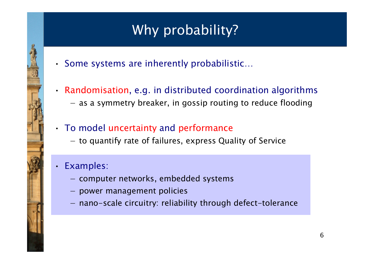# Why probability?

- Some systems are inherently probabilistic…
- Randomisation, e.g. in distributed coordination algorithms −as a symmetry breaker, in gossip routing to reduce flooding
- • To model uncertainty and performance
	- −to quantify rate of failures, express Quality of Service
- • Examples:
	- computer networks, embedded systems
	- power management policies
	- nano-scale circuitry: reliability through defect-tolerance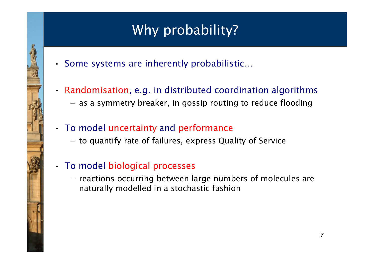# Why probability?

- Some systems are inherently probabilistic…
- Randomisation, e.g. in distributed coordination algorithms −as a symmetry breaker, in gossip routing to reduce flooding
- • To model uncertainty and performance
	- −to quantify rate of failures, express Quality of Service
- To model biological processes
	- −reactions occurring between large numbers of molecules are naturally modelled in a stochastic fashion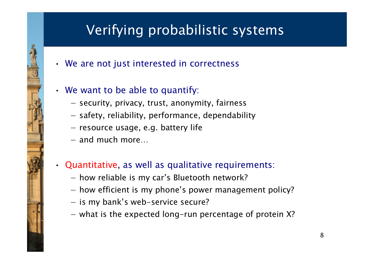# Verifying probabilistic systems

- We are not just interested in correctness
- • We want to be able to quantify:
	- security, privacy, trust, anonymity, fairness
	- safety, reliability, performance, dependability
	- resource usage, e.g. battery life
	- and much more…
- Quantitative, as well as qualitative requirements:
	- how reliable is my car's Bluetooth network?
	- how efficient is my phone's power management policy?
	- is my bank's web-service secure?
	- what is the expected long-run percentage of protein X?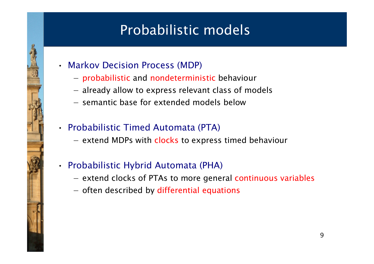# Probabilistic models

- Markov Decision Process (MDP)
	- probabilistic and nondeterministic behaviour
	- already allow to express relevant class of models
	- semantic base for extended models below
- Probabilistic Timed Automata (PTA)
	- extend MDPs with clocks to express timed behaviour
- Probabilistic Hybrid Automata (PHA)
	- extend clocks of PTAs to more general continuous variables
	- often described by differential equations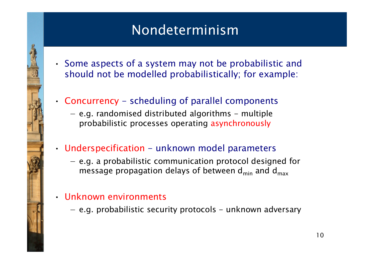### Nondeterminism

- Some aspects of a system may not be probabilistic and should not be modelled probabilistically; for example:
- • Concurrency - scheduling of parallel components
	- −e.g. randomised distributed algorithms - multiple probabilistic processes operating asynchronously
- Underspecification unknown model parameters
	- −e.g. a probabilistic communication protocol designed for message propagation delays of between  $\mathsf{d}_{\mathsf{min}}$  and  $\mathsf{d}_{\mathsf{max}}$
- Unknown environments

•

•

e.g. probabilistic security protocols – unknown adversary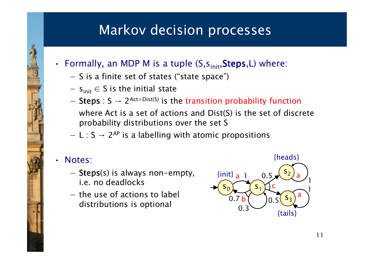### Markov decision processes

- Formally, an MDP M is a tuple  $(S,s_{\text{init}},\text{Steps},L)$  where:
	- −S is a finite set of states ("state space")
	- − $s_{init} \in S$  is the initial state
	- −Steps :  $S \rightarrow 2^{Act\times Dist(S)}$  is the transition probability function

where Act is a set of actions and Dist(S) is the set of discrete probability distributions over the set S

− $L : S \rightarrow 2^{AP}$  is a labelling with atomic propositions

#### Notes:

•

- −Steps(s) is always non-empty, i.e. no deadlocks
- −the use of actions to label distributions is optional

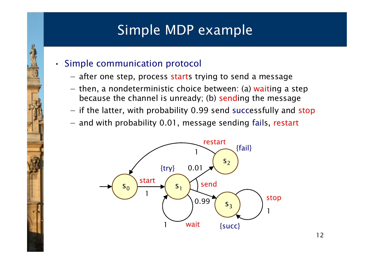## Simple MDP example

- Simple communication protocol
	- −after one step, process starts trying to send a message
	- −then, a nondeterministic choice between: (a) waiting a step<br>because the shaped is unready (b) sending the message because the channel is unready; (b) sending the message
	- −if the latter, with probability 0.99 send successfully and stop
	- and with probability 0.01, message sending fails, restart

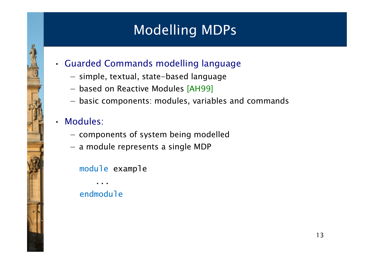# Modelling MDPs

- Guarded Commands modelling language
	- −simple, textual, state-based language
	- −based on Reactive Modules [AH99]
	- −basic components: modules, variables and commands

#### •Modules:

- −components of system being modelled
- a module represents a single MDP

#### module example

endmodule

...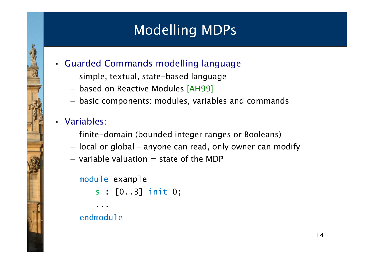# Modelling MDPs

- Guarded Commands modelling language
	- −simple, textual, state-based language
	- −based on Reactive Modules [AH99]
	- −basic components: modules, variables and commands

#### • Variables:

- −finite-domain (bounded integer ranges or Booleans)
- local or global anyone can read, only owner can modify
- −variable valuation  $=$  state of the MDP

#### module example

```
s : [0..3] init 0;
```

```
endmodule
```
...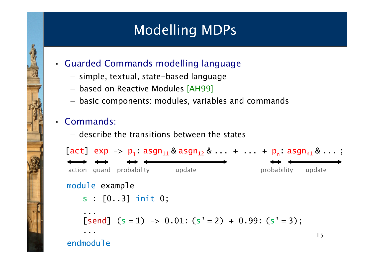# Modelling MDPs

- Guarded Commands modelling language
	- −simple, textual, state-based language
	- −based on Reactive Modules [AH99]
	- −basic components: modules, variables and commands

#### • Commands:

−describe the transitions between the states

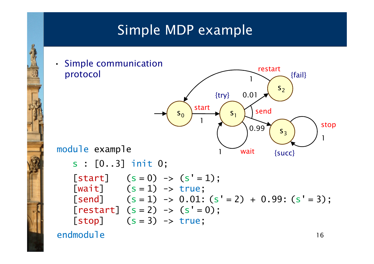# Simple MDP example



endmodule

16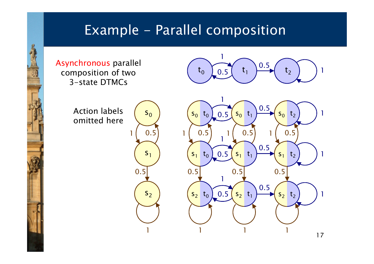#### Example - Parallel composition

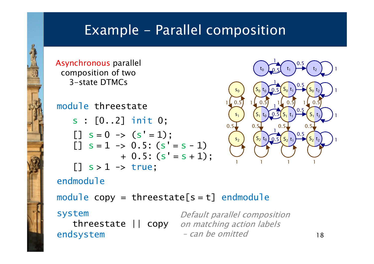#### Example - Parallel composition

Asynchronous parallel composition of two3-state DTMCs

#### module threestate

- s : [0..2] init 0;
- $[$ ]  $s = 0 \rightarrow (s' = 1);$  $[$ ]  $s = 1 \rightarrow 0.5$ :  $(s' = s - 1)$  $+$  0.5: (s' = s + 1);  $[$ ] s >  $1$  -> true;



#### endmodule

 $\textsf{module } \textsf{copy} \ = \ \textsf{thresetate}\big[\textsf{s} = \texttt{t}\big] \ \ \textsf{endmodule}$ 

#### system

 –endsystem

threestate || copy on matching action labels Default parallel compositioncan be omitted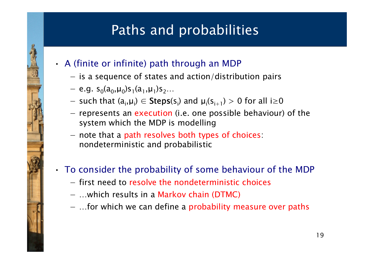# Paths and probabilities

- A (finite or infinite) path through an MDP
	- −is a sequence of states and action/distribution pairs
	- − e.g. s<sub>0</sub>(a<sub>0</sub>,µ<sub>0</sub>)s<sub>1</sub>(a<sub>1</sub>,µ<sub>1</sub>)s<sub>2</sub>…

•

•

- $-$  such that  $(a, u) \subset$  Stan such that  $(a_i,\mu_i) \in \text{Steps}(s_i)$  and  $\mu_i(s_{i+1}) > 0$  for all  $i \ge 0$
- −represents an execution (i.e. one possible behaviour) of the system which the MDP is modelling
- −note that a path resolves both types of choices: nondeterministic and probabilistic
- To consider the probability of some behaviour of the MDP
	- −first need to resolve the nondeterministic choices
	- −…which results in a Markov chain (DTMC)
	- …for which we can define a probability measure over paths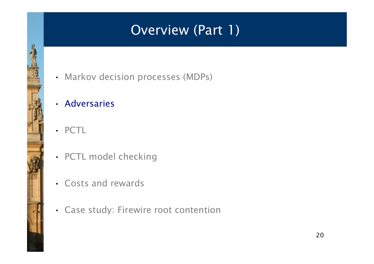# Overview (Part 1)

- Markov decision processes (MDPs)
- Adversaries
- PCTL
- PCTL model checking
- Costs and rewards
- Case study: Firewire root contention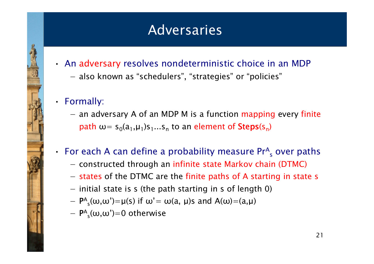### Adversaries

- An adversary resolves nondeterministic choice in an MDP
	- −also known as "schedulers", "strategies" or "policies"
- Formally:

•

− an adversary A of an MDP M is a function mapping every finite path  $\omega =$  s $_0$ (a<sub>1</sub>, $\mu$ <sub>1</sub>)s<sub>1</sub>...s<sub>n</sub> to an element of  $\mathsf{Steps(s_n)}$ 

#### For each A can define a probability measure  $Pr_{s}^{A}$  over paths

- constructed through an infinite state Markov chain (DTMC)
- −- states of the DTMC are the finite paths of A starting in state s
- −initial state is s (the path starting in s of length 0)
- − $P_{s}(\omega,\omega')= \mu(s)$  if  $\omega'=\omega(a,\mu)s$  and  $A(\omega)=(a,\mu)$
- − $P_{s}^{A}(\omega,\omega')=0$  otherwise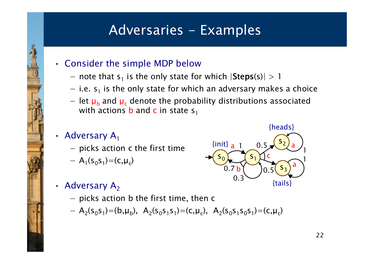### Adversaries - Examples

- Consider the simple MDP below
	- − note that c−ic the only ctate f note that  $s_1$  is the only state for which  $|\text{Steps}(s)| > 1$
	- −i.e.  $s_1$  is the only state for which an adversary makes a choice
	- −let  $\mu_b$  and  $\mu_c$  denote the probability distributions associated<br>with actions heard a in state s with actions  $\mathbf b$  and  $\mathbf c$  in state  $\mathsf s_1$

#### • Adversary  $A_1$

- −picks action c the first time
- − $A_1(s)$  $_{0}$ s<sub>1</sub>)=(c,µ<sub>c</sub>)
- Adversary  $A_2$ 
	- −picks action b the first time, then c
	- $A_2(s_0s_1) = (b, \mu_b), A_2(s_0s_1s_1) = (c, \mu_c), A_2(s_0s_1s_0s_1) = (c, \mu_c)$

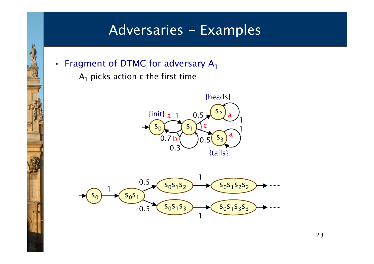#### Adversaries - Examples

- Fragment of DTMC for adversary  $A_1$ 
	- − $A_1$  picks action c the first time

•



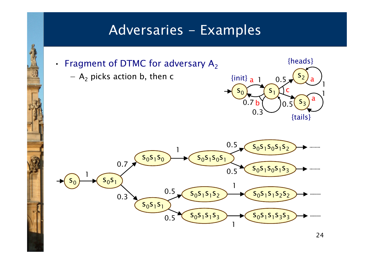#### Adversaries - Examples

- Fragment of DTMC for adversary  $A_2$ 
	- $-$  A  $_2$  picks action b, then c

•



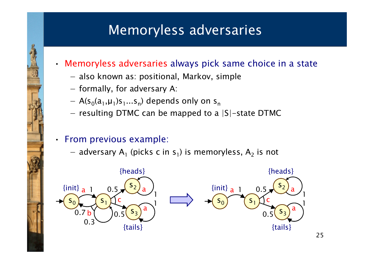### Memoryless adversaries

- Memoryless adversaries always pick same choice in a state
	- −also known as: positional, Markov, simple
	- −formally, for adversary A:
	- − $A(s_0(a_1,\mu_1)s_1...s_n)$  depends only on  $s_n$
	- −resulting DTMC can be mapped to a |S|-state DTMC

#### • From previous example:

adversary  $A_1$  (picks c in s<sub>1</sub>) is memoryless, A  $_2$  is not

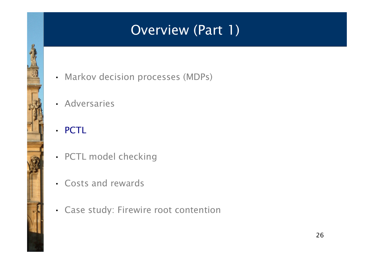# Overview (Part 1)

- Markov decision processes (MDPs)
- Adversaries
- PCTL
- PCTL model checking
- Costs and rewards
- Case study: Firewire root contention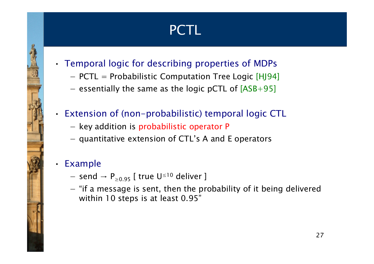# PCTL

- • Temporal logic for describing properties of MDPs
	- −PCTL = Probabilistic Computation Tree Logic [HJ94]
	- −essentially the same as the logic pCTL of  $[ASB+95]$

#### Extension of (non-probabilistic) temporal logic CTL

- −key addition is probabilistic operator P
- quantitative extension of CTL's A and E operators

#### •Example

•

- −send  $\rightarrow$  P<sub>≥0.95</sub> [ true U<sup>≤10</sup> deliver ]
- −"if a message is sent, then the probability of it being delivered<br>within 10 stage is at least 0.05" within 10 steps is at least 0.95"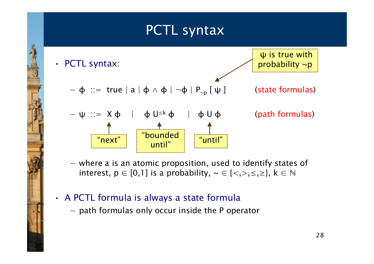#### PCTL syntax



−where a is an atomic proposition, used to identify states of  $\frac{1}{2}$ interest,  $p \in [0,1]$  is a probability,  $\sim \in \{<,>,\leq,\geq\}, k \in \mathbb{N}$ 

#### A PCTL formula is always a state formula

•

−path formulas only occur inside the P operator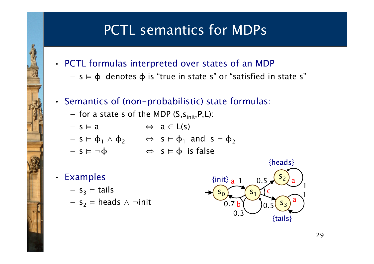# PCTL semantics for MDPs

- PCTL formulas interpreted over states of an MDP
	- − $s \vDash \varphi$  denotes  $\varphi$  is "true in state s" or "satisfied in state s"
- •• Semantics of (non-probabilistic) state formulas:
	- −for a state s of the MDP  $(S,s_{init},P,L)$ :
	- − $s \vDash a \qquad \Leftrightarrow a \in L(s)$

$$
- s \vDash \varphi_1 \wedge \varphi_2 \qquad \Leftrightarrow \ s \vDash \varphi_1 \text{ and } s \vDash \varphi_2
$$

- − $s \vDash \neg \phi$   $\Leftrightarrow$   $s \vDash \phi$  is false
- Examples

•

- $s_3 \vDash$  tails
- $-$  s<sub>2</sub>  $\vDash$  heads  $\wedge \neg$ init

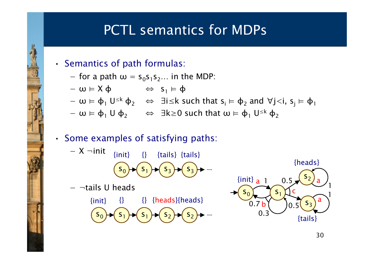## PCTL semantics for MDPs

• Semantics of path formulas:

•

−for a path  $\omega = s$  $_0$ s $_1$ s $_2...$  in the MDP:

$$
-\omega \vDash X \varphi \qquad \Leftrightarrow s_1 \vDash \varphi
$$

− $ω \vDash φ_1 U^{\leq k} φ_2$ <sub>2</sub>  $\Leftrightarrow$  ∃i≤k such that s<sub>i</sub>  $\models$  φ  $_2$  and ∀j<i, s<sub>j</sub>  $\vDash \varphi_1$ 

> s3

- − $ω \vDash φ_1 ∪ φ$ 2 $\Rightarrow$  ∃k≥0 such that  $\omega \vDash \varphi_1$  U<sup>≤k</sup>  $\varphi_2$
- •• Some examples of satisfying paths:
	- − X ¬init  $\{init\}$   $\{}$   $\{tails\}$   $\{tails\}$

S <sub>1</sub>

 $\mathbf{I}$   $\mathbf{B}$ 

3

s0

−¬tails U heads

S  $_{\rm 1}$  $1)$   $\rightarrow$   $(5)$   $\rightarrow$   $(5)$ 2s2{} {heads}{heads} s0{}{init}

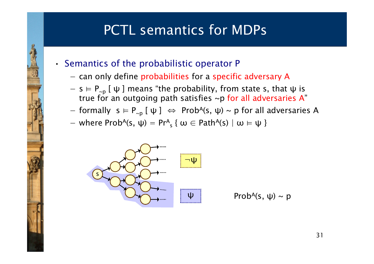# PCTL semantics for MDPs

• Semantics of the probabilistic operator P

•

- −can only define probabilities for a specific adversary A
- − $s \vDash P_{\sim p}$  [  $\psi$  ] means "the probability, from state s, that  $\psi$  is two for an extraction of the solicition of  $\mathbf{A}$ " true for an outgoing path satisfies ~p for all adversaries A"
- −formally  $s \vDash P_{\neg p}$  [  $\psi$  ]  $\Leftrightarrow$  Prob<sup>A</sup>(s,  $\psi$ ) ~ p for all adversaries A
- where  $Prob^{A}(s, \psi) = Pr^{A}$  s $\mathbf{y}_\mathsf{s}$  {  $\mathsf{\omega} \in \mathsf{Path}^{\mathsf{A}}(\mathsf{s}) \mid \mathsf{\omega} \models \mathsf{\psi}$  }

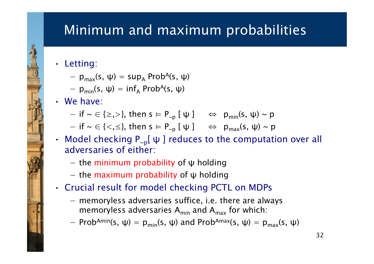### Minimum and maximum probabilities

#### • Letting:

- − $p_{max}(s, \psi) = sup$ A $_{\mathsf{A}}$  Prob<sup>A</sup>(s, ψ)
- − $p_{min}(s, \psi) = inf_A Prob^A(s, \psi)$
- We have:
	- −if  $\sim \in \{\geq,>\},$  then  $s \vDash P_{\sim p}$   $[\psi] \iff p_{min}(s, \psi) \sim p$
	- −if  $\sim \in \{<,\leq\}$ , then  $s \vDash P_{\sim p}$   $[\psi] \quad \Leftrightarrow \quad p_{\text{max}}(s, \psi) \sim p$
- Model checking  $P_{\sim p}[\psi]$  reduces to the computation over all adversaries of either:
	- −the minimum probability of  $\psi$  holding
	- the maximum probability of  $\psi$  holding
- • Crucial result for model checking PCTL on MDPs
	- −memoryless adversaries suffice, i.e. there are always memoryless adversaries  $A_{min}$  and  $A_{max}$  for which:
	- −Prob<sup>Amin</sup>(s,  $\psi$ ) = p<sub>min</sub>(s,  $\psi$ ) and Prob<sup>Amax</sup>(s,  $\psi$ ) = p<sub>max</sub>(s,  $\psi$ )

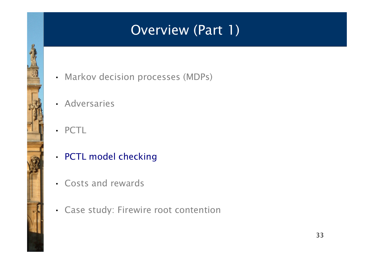# Overview (Part 1)

- Markov decision processes (MDPs)
- Adversaries
- PCTL
- PCTL model checking
- Costs and rewards
- Case study: Firewire root contention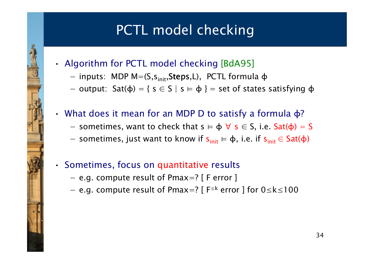# PCTL model checking

- • Algorithm for PCTL model checking [BdA95]
	- −inputs: MDP  $M=(S,s_{init},Steps,L)$ , PCTL formula  $\varphi$
	- −output: Sat(φ) = { s ∈ S | s  $=$   $\phi$  } = set of states satisfying  $\phi$
- • $\cdot$  What does it mean for an MDP D to satisfy a formula φ?
	- −sometimes, want to check that  $s \vDash \varphi \ \forall \ s \in S$ , i.e.  $Sat(\varphi) = S$
	- sometimes, just want to know if  $s_{init} \vDash \varphi$ , i.e. if  $s_{init} \in Sat(\varphi)$
- •• Sometimes, focus on quantitative results
	- e.g. compute result of Pmax=? [ F error ]
	- −e.g. compute result of Pmax=? [  $F^{\leq k}$  error ] for  $0 \leq k \leq 100$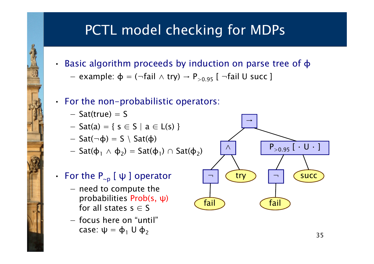# PCTL model checking for MDPs

- Basic algorithm proceeds by induction on parse tree of φ
	- −example:  $\varphi = (\neg \text{fail} \wedge \text{try}) \rightarrow P_{> 0.95}$  [  $\neg \text{fail}$  U succ ]
- For the non-probabilistic operators:
	- − $Sat(true) = S$

•

- − $Sat(a) = \{ s \in S \mid a \in L(s) \}$
- Sat( $\neg$ φ) = S \ Sat(φ)
- −Sat( $\varphi_1 \wedge \varphi_2$ ) = Sat( $\varphi_1$ )  $\cap$  Sat( $\varphi_2$ )

#### • For the  $P_{\sim p}$  [  $\psi$  ] operator

- −need to compute the probabilities Prob(s, ψ)for all states  $s \in S$
- focus here on "until" case: ψ =  $\phi_1$  U  $\phi_2$

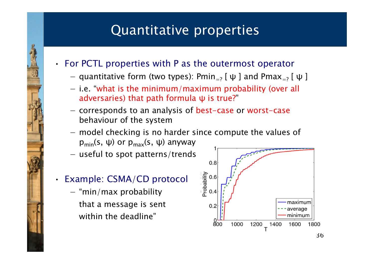## Quantitative properties

- For PCTL properties with P as the outermost operato r
	- −quantitative form (two types):  $Pmin_{=?}$  [  $\psi$  ] and  $Pmax_{=?}$  [  $\psi$  ]
	- − i.e. "what is the minimum/maximum probability (over all adversaries) that path formula ψ is true? "
	- −corresponds to an analysis of best-case or worst-case behaviour of the system
	- − modal chacking is no l model checking is no harder since compute the values of  $p_{min}(s, ψ)$  or  $p_{max}(s, ψ)$  anyway
	- −useful to spot patterns/trends
- • Example: CSMA/CD protocol
	- − "min/max probability that a message is sentwithin the deadline"

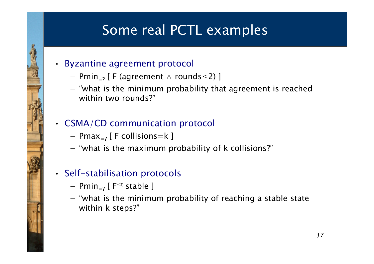# Some real PCTL examples

#### • Byzantine agreement protocol

- −Pmin<sub>=?</sub> [ F (agreement  $\wedge$  rounds  $\leq$ 2) ]
- −"what is the minimum probability that agreement is reached within two rounds?"

#### • CSMA/CD communication protocol

- $Pmax_{=?}$  [ F collisions=k ]
- −"what is the maximum probability of k collisions?"

#### • Self-stabilisation protocols

−Pmin<sub>=?</sub> [  $F^{\leq t}$  stable ]

•

−"what is the minimum probability of reaching a stable state<br>within k stans?" within k steps?"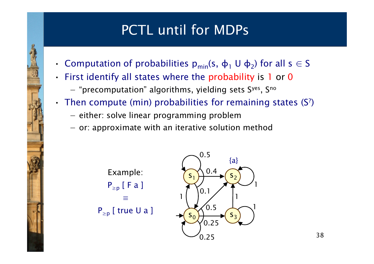## PCTL until for MDPs

- •**Computation of probabilities**  $p_{min}(s, \phi_1 \cup \phi_2)$  **for all**  $s \in S$
- . First identify all states where the probabil First identify all states where the probability is 1 or 0
	- −"precomputation" algorithms, yielding sets Syes, Sno
- $\bullet$ • Then compute (min) probabilities for remaining states (S<sup>?</sup>)
	- −either: solve linear programming problem
	- − or: annrovimate with an iterative colutio or: approximate with an iterative solution method



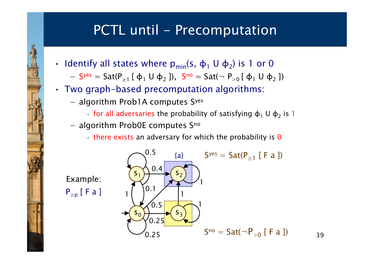#### PCTL until - Precomputation

- $\cdot$  Identify all states where p<sub>min</sub>(s, φ<sub>1</sub> U φ<sub>2</sub>) is 1 or 0
	- and the state of the state of the state of the state of the state of the state of the state of the state of the  $-$  S<sup>yes</sup> = Sat(P<sub>≥1</sub> [ φ<sub>1</sub> U φ<sub>2</sub> ]), S<sup>no</sup> = Sat( $\neg P_{>0}$  [ φ<sub>1</sub> U φ  $_2$ ])
- • Two graph-based precomputation algorithms:
	- − algorithm Prob1A computes Syes
		- for all adversaries the probability of satisfying  $\phi_1 \, U \, \phi_2$  is 1
	- algorithm Prob0E computes S<sup>no</sup>
		- there exists an adversary for which the probability is 0



Example: $\mathsf{P}_{\geq \mathsf{p}}$  [ F a ]

•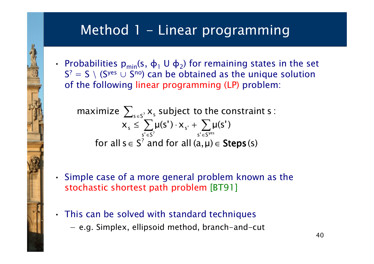### Method 1 - Linear programming

• Probabilities  $p_{min}(s, \phi_1 \cup \phi_2)$  for remaining states in the set  $S^2 = S \setminus (S^{yes} \cup S^{no})$  can be obtained as the unique solution of the following linear programming (LP) problem:

for all  $s \in S^2$  and for all  $(a,\mu) \in$  Steps (s) xµ $(\mathsf{s}')$ xµ $\sum_{s' \in S^2} \mu(s') \cdot x_{s'} + \sum_{s' \in S^{yes}} \mu(s')$ maximize  $\sum_{\mathsf{s}\in\mathsf{s}^?}\mathsf{x}_\mathsf{s}$  subject to the constraint  $\mathsf{s}$  :  $\in$  S' and for all (a,  $\mu$ ) $\in$  Steps  $s = \sum_{i} M(s)$ ,  $N_{s}$  $s \in S'$ ?  $S' \in S^{yes}$ ≤ $\leq \sum_{s' \in S^2} \mu(s') \cdot x_{s'} + \sum_{s' \in S^Y}$ ∈∈

- •• Simple case of a more general problem known as the stochastic shortest path problem [BT91]
- This can be solved with standard techniques −e.g. Simplex, ellipsoid method, branch-and-cut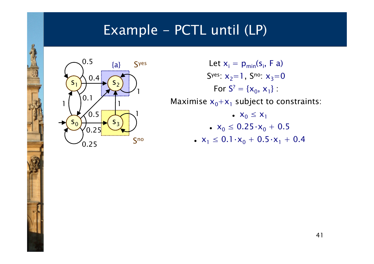

Let  $x_i = p_{min}(s_i, F_a)$ S<sup>yes</sup>:  $\mathsf{x}_2\mathsf{=}1$  , S<sup>no</sup>:  $\mathsf{x}_3\mathsf{=}0$ For  $S^2 = \{x_0, x_1\}$  : Maximise  $x_0+ x_1$  subject to constraints: •  $X_0 \leq X_1$  $\sim x_0 \leq 0.25 \cdot x_0 + 0.5$ 

• 
$$
x_1 \le 0.1 \cdot x_0 + 0.5 \cdot x_1 + 0.4
$$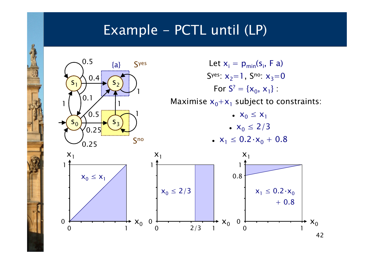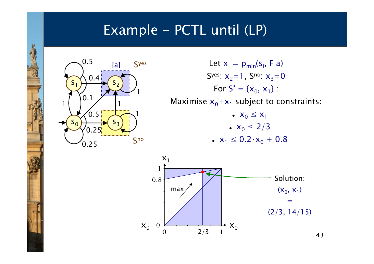

Let  $x_i = p_{min}(s_i, F_a)$ S<sup>yes</sup>:  $\mathsf{x}_2\mathsf{=}1$  , S<sup>no</sup>:  $\mathsf{x}_3\mathsf{=}0$ For  $S^2 = \{x_0, x_1\}$  : Maximise  $x_0+ x_1$  subject to constraints: •  $X_0 \leq X_1$ •  $x_0 \le 2/3$ •  $x_1 \le 0.2 \cdot x_0 + 0.8$ 

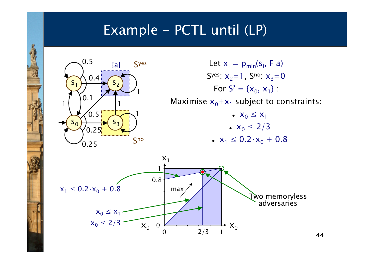

Let  $x_i = p_{min}(s_i, F_a)$ S<sup>yes</sup>:  $\mathsf{x}_2\mathsf{=}1$  , S<sup>no</sup>:  $\mathsf{x}_3\mathsf{=}0$ For  $S^2 = \{x_0, x_1\}$  : Maximise  $x_0+ x_1$  subject to constraints: •  $X_0 \leq X_1$ •  $x_0 \le 2/3$ •  $x_1 \le 0.2 \cdot x_0 + 0.8$ 



44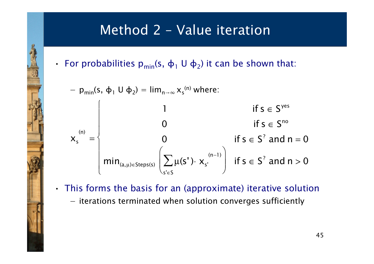# Method 2 - Value iteration

• For probabilities  $p_{min}(s, \phi_1 \cup \phi_2)$  it can be shown that:

$$
- p_{min}(s, \varphi_1 \cup \varphi_2) = \lim_{n \to \infty} x_s^{(n)} \text{ where:}
$$
\n
$$
x_s^{(n)} = \begin{cases}\n1 & \text{if } s \in S^{\text{yes}} \\
0 & \text{if } s \in S^n \\
\text{min}_{(a, \mu) \in \text{Steps}(s)} \left( \sum_{s' \in S} \mu(s') \cdot x_{s'}^{(n-1)} \right) & \text{if } s \in S^? \text{ and } n = 0\n\end{cases}
$$

- • This forms the basis for an (approximate) iterative solution
	- −iterations terminated when solution converges sufficiently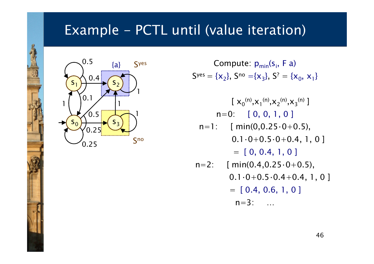#### Example - PCTL until (value iteration)



- Compute: p<sub>min</sub>(s<sub>i</sub>, F a)  $S<sup>yes</sup> = {x<sub>2</sub>}, S<sup>no</sup> = {x<sub>3</sub>}, S<sup>2</sup> = {x<sub>0</sub>, x<sub>1</sub>}$ 
	- $[~{\sf x_0}^{\mathsf{(n)}}, {\sf x_1}^{\mathsf{(n)}}, {\sf x_2}^{\mathsf{(n)}}, {\sf x_3}^{\mathsf{(n)}}~]$ n=0: [ 0, 0, 1, 0 ] $n=1$ : [ min(0,0.25 $\cdot$ 0+0.5),  $0.1 \cdot 0 + 0.5 \cdot 0 + 0.4, 1, 0$ ]
		- $= [ 0, 0.4, 1, 0 ]$
- $n=2$ : [ min(0.4,0.25 $\cdot$ 0+0.5),  $0.1 \cdot 0 + 0.5 \cdot 0.4 + 0.4$ , 1, 0]  $= [ 0.4, 0.6, 1, 0 ]$  $n=3:$  …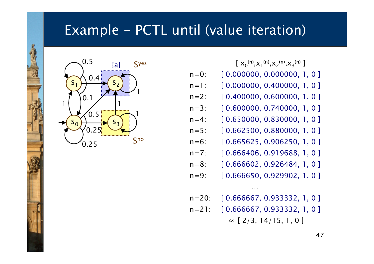#### Example - PCTL until (value iteration)



 $[~{\sf X}_0{}^{\sf (n)},{\sf X}_1{}^{\sf (n)},{\sf X}_2{}^{\sf (n)},{\sf X}_3{}^{\sf (n)}~]$ 

- $n=0$ : [ 0.000000, 0.000000, 1, 0 ]
- $n=1$ : [ 0.000000, 0.400000, 1, 0 ]
- $n=2$ : [ 0.400000, 0.600000, 1, 0 ]
- $n=3$ : [ 0.600000, 0.740000, 1, 0 ]
- $n=4$ : [ 0.650000, 0.830000, 1, 0 ]
- $n=5$ : [ 0.662500, 0.880000, 1, 0 ]
- $n=6$ : [ 0.665625, 0.906250, 1, 0 ]
- $n=7$ : [ 0.666406, 0.919688, 1, 0 ]
- $n=8$ : [ 0.666602, 0.926484, 1, 0 ]
- $n=9$ : [ 0.666650, 0.929902, 1, 0 ]
- n=20: [ 0.666667, 0.933332, 1, 0 ]

…

 $n=21$ : [ 0.666667, 0.933332, 1, 0 ]

 $\approx$  [ 2/3, 14/15, 1, 0 ]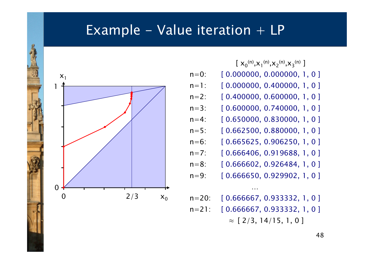#### Example – Value iteration  $+$  LP



- $[~{\sf X}_0{}^{\sf (n)},{\sf X}_1{}^{\sf (n)},{\sf X}_2{}^{\sf (n)},{\sf X}_3{}^{\sf (n)}~]$
- $[ 0.000000, 0.000000, 1, 0 ]$  $n=0$ :
- $n=1$ : [ 0.000000, 0.400000, 1, 0 ]
- $n=2$ : [ 0.400000, 0.600000, 1, 0 ]
- $n=3$ : [ 0.600000, 0.740000, 1, 0 ]
- $n=4$ : [ 0.650000, 0.830000, 1, 0 ]
- $n=5$ : [ 0.662500, 0.880000, 1, 0 ]
- $n=6$ : [ 0.665625, 0.906250, 1, 0 ]
- $n=7$ : [ 0.666406, 0.919688, 1, 0 ] $n=8$ : [ 0.666602, 0.926484, 1, 0 ]
- $n=9$ : [ 0.666650, 0.929902, 1, 0 ]
- n=20: [ 0.666667, 0.933332, 1, 0 ] $n=21$ : [ 0.666667, 0.933332, 1, 0 ]

…

 $\approx$  [ 2/3, 14/15, 1, 0 ]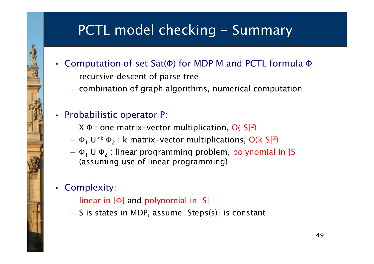# PCTL model checking - Summary

- • Computation of set Sat(Φ) for MDP M and PCTL formula Φ
	- −recursive descent of parse tree
	- −combination of graph algorithms, numerical computation

#### • Probabilistic operator P:

- − $X$  Φ : one matrix-vector multiplication, O(|S|<sup>2</sup>)
- − $\Phi_1$  U<sup>≤k</sup>  $\Phi_2$ : k matrix-vector multiplications, O(k|S|<sup>2</sup>)
- − Φ<sub>1</sub> U Φ<br>————————————————————  $_2$  : linear programming problem, polynomial in  $|S|$ (assuming use of linear programming)
- Complexity:
	- −linear in |Φ| and polynomial in |S|
	- −S is states in MDP, assume |Steps(s)| is constant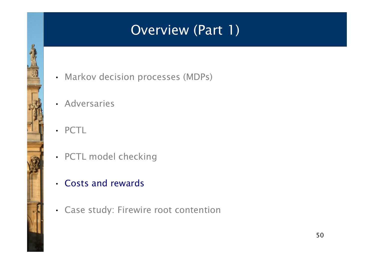# Overview (Part 1)

- Markov decision processes (MDPs)
- Adversaries
- PCTL
- PCTL model checking
- Costs and rewards
- Case study: Firewire root contention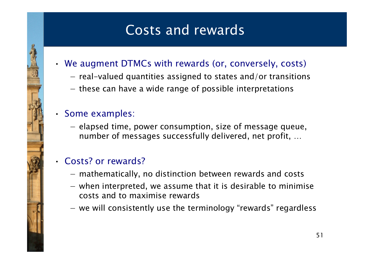# Costs and rewards

- We augment DTMCs with rewards (or, conversely, costs)
	- −real-valued quantities assigned to states and/or transitions
	- −these can have a wide range of possible interpretations

#### • Some examples:

−elapsed time, power consumption, size of message queue, number of messages successfully delivered, net profit, …

#### • Costs? or rewards?

- −mathematically, no distinction between rewards and costs
- −when interpreted, we assume that it is desirable to minimise costs and to maximise rewards
- −we will consistently use the terminology "rewards" regardless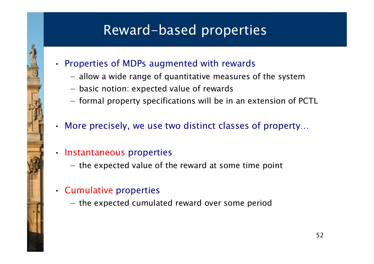# Reward-based properties

- Properties of MDPs augmented with rewards
	- −allow a wide range of quantitative measures of the system
	- −basic notion: expected value of rewards
	- −formal property specifications will be in an extension of PCTL
- •More precisely, we use two distinct classes of property…

#### • Instantaneous properties

- −the expected value of the reward at some time point
- Cumulative properties

•

−the expected cumulated reward over some period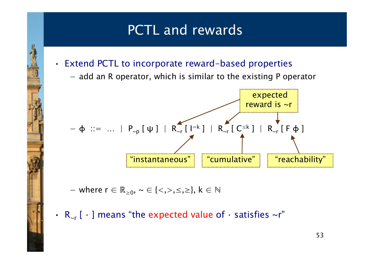### PCTL and rewards

- Extend PCTL to incorporate reward-based properties
	- −add an R operator, which is similar to the existing P operator



−where  $r \in \mathbb{R}_{\geq 0}$ ,  $\sim \in \{ \lt, , \gt, , \leq , \geq \}, k \in \mathbb{N}$ 

•

•  $R_{\sim r}$  [  $\cdot$  ] means "the expected value of  $\cdot$  satisfies  $\sim r$ "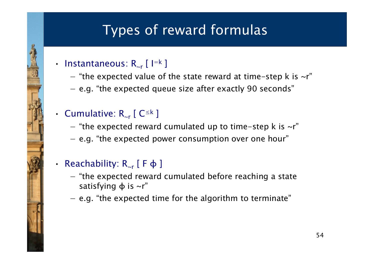# Types of reward formulas

#### • Instantaneous:  $R_{\sim r}$  [I=k]

•

•

- −"the expected value of the state reward at time-step k is  $\sim$ r"
- −e.g. "the expected queue size after exactly 90 seconds"

#### • Cumulative:  $R_{\text{cr}}$  [  $C^{\leq k}$  ]

- −"the expected reward cumulated up to time-step k is  $\sim$ r"
- e.g. "the expected power consumption over one hour "

#### •Reachability:  $R_{\sim r}$  [ F  $\varphi$  ]

- −"the expected reward cumulated before reaching a state<br>catiof ing this w" satisfying  $\phi$  is  $\sim r''$
- −e.g. "the expected time for the algorithm to terminate"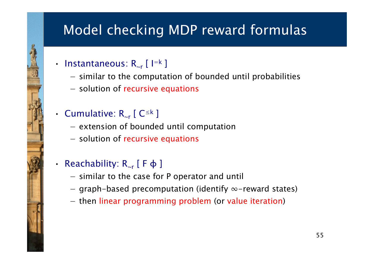# Model checking MDP reward formulas

• Instantaneous:  $R_{\sim r}$  [I=k]

•

•

- −similar to the computation of bounded until probabilities
- −solution of recursive equations
- Cumulative:  $R_{\text{cr}}$  [  $C^{\leq k}$  ]
	- −extension of bounded until computation
	- solution of recursive equations
- •Reachability:  $R_{\text{cr}}$  [  $F \varphi$  ]
	- −similar to the case for P operator and until
	- −graph-based precomputation (identify  $\infty$ -reward states)
	- −then linear programming problem (or value iteration)